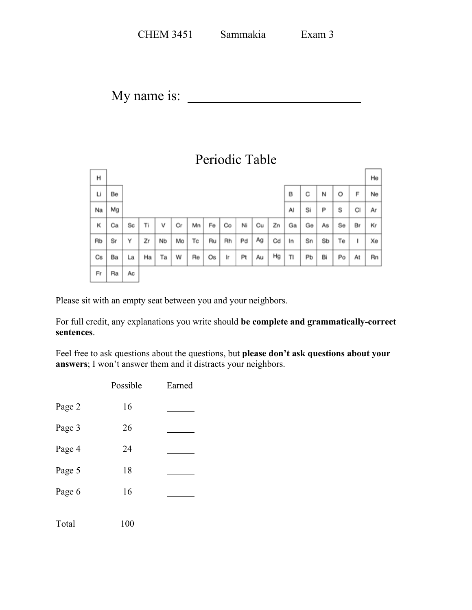| <b>CHEM 3451</b> | Sammakia | Exam 3 |
|------------------|----------|--------|
|                  |          |        |

My name is:

## Periodic Table

| н  |    |    |    |    |    |    |    |    |    |    |    |    |    |    |    |    | He |
|----|----|----|----|----|----|----|----|----|----|----|----|----|----|----|----|----|----|
| Li | Be |    |    |    |    |    |    |    |    |    |    | В  | С  | Ν  | O  | F  | Ne |
| Na | Mg |    |    |    |    |    |    |    |    |    |    | AI | Si | Ρ  | S  | CI | Ar |
| κ  | Сa | Sc | Tì | ٧  | Сr | Mn | Fe | Co | Ni | Cu | Zn | Ga | Ge | As | Se | Br | Kr |
| Rb | Sr | Υ  | Zr | Nb | Mo | Тc | Ru | Rh | Pd | Ag | Cd | In | Sn | Sb | Te | ı  | Xe |
| Cs | Ba | La | Ha | Ta | w  | Re | Os | Ir | Pt | Au | Hg | TI | Рb | Bi | Po | At | Rn |
| Fr | Ra | Aс |    |    |    |    |    |    |    |    |    |    |    |    |    |    |    |

Please sit with an empty seat between you and your neighbors.

For full credit, any explanations you write should **be complete and grammatically-correct sentences**.

Feel free to ask questions about the questions, but **please don't ask questions about your answers**; I won't answer them and it distracts your neighbors.

| Possible | Earned |
|----------|--------|
| 16       |        |
| 26       |        |
| 24       |        |
| 18       |        |
| 16       |        |
| 100      |        |
|          |        |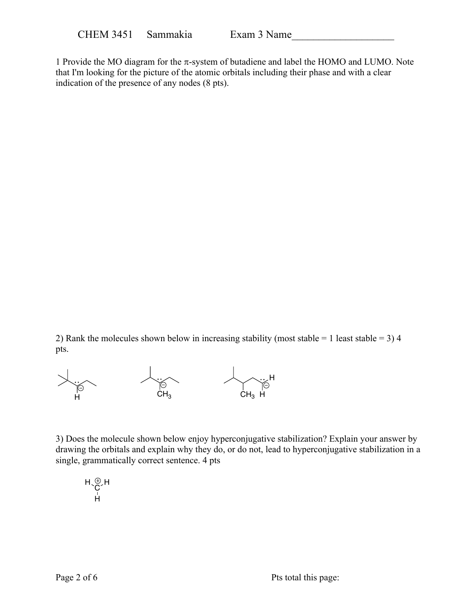1 Provide the MO diagram for the  $\pi$ -system of butadiene and label the HOMO and LUMO. Note that I'm looking for the picture of the atomic orbitals including their phase and with a clear indication of the presence of any nodes (8 pts).

2) Rank the molecules shown below in increasing stability (most stable = 1 least stable = 3) 4 pts.



3) Does the molecule shown below enjoy hyperconjugative stabilization? Explain your answer by drawing the orbitals and explain why they do, or do not, lead to hyperconjugative stabilization in a single, grammatically correct sentence. 4 pts

$$
\mathsf{H}^{\mathsf{op}}_{\mathsf{C}}\mathsf{H}
$$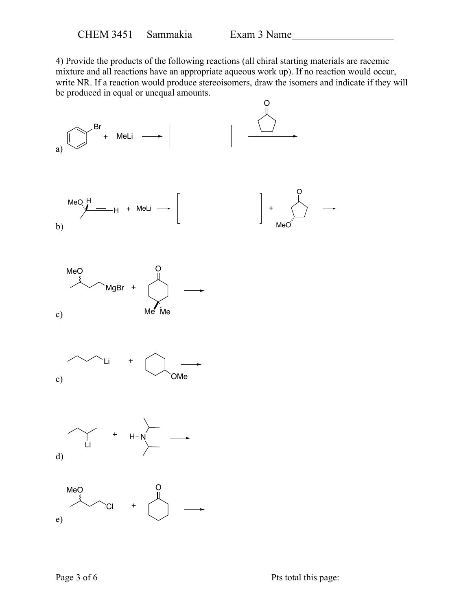4) Provide the products of the following reactions (all chiral starting materials are racemic mixture and all reactions have an appropriate aqueous work up). If no reaction would occur, write NR. If a reaction would produce stereoisomers, draw the isomers and indicate if they will be produced in equal or unequal amounts.

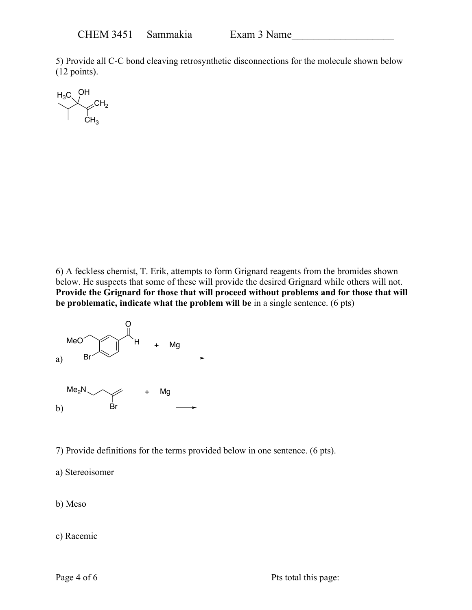5) Provide all C-C bond cleaving retrosynthetic disconnections for the molecule shown below (12 points).



6) A feckless chemist, T. Erik, attempts to form Grignard reagents from the bromides shown below. He suspects that some of these will provide the desired Grignard while others will not. **Provide the Grignard for those that will proceed without problems and for those that will be problematic, indicate what the problem will be** in a single sentence. (6 pts)



7) Provide definitions for the terms provided below in one sentence. (6 pts).

a) Stereoisomer

b) Meso

c) Racemic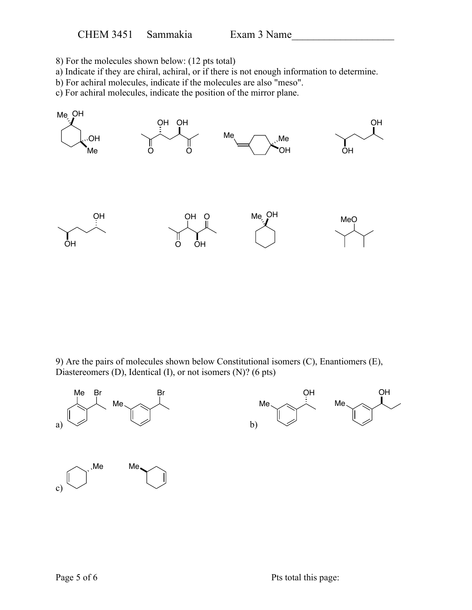8) For the molecules shown below: (12 pts total)

- a) Indicate if they are chiral, achiral, or if there is not enough information to determine.
- b) For achiral molecules, indicate if the molecules are also "meso".
- c) For achiral molecules, indicate the position of the mirror plane.



9) Are the pairs of molecules shown below Constitutional isomers (C), Enantiomers (E), Diastereomers (D), Identical (I), or not isomers (N)? (6 pts)